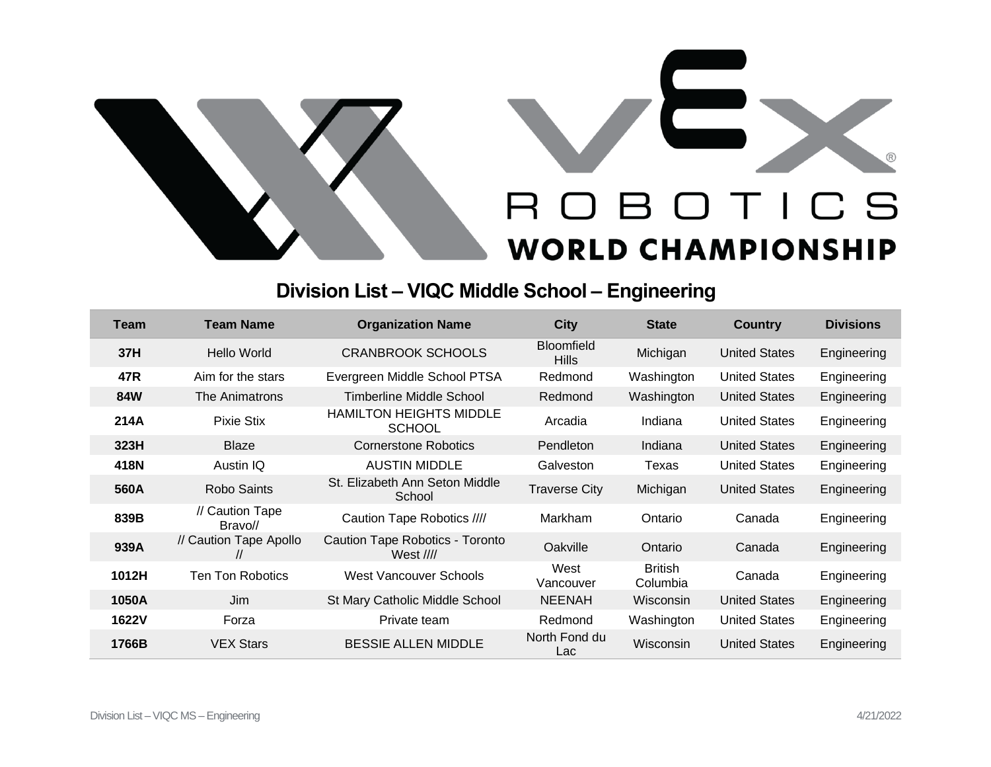

## **Division List – VIQC Middle School – Engineering**

| Team       | <b>Team Name</b>           | <b>Organization Name</b>                              | <b>City</b>                       | <b>State</b>               | Country              | <b>Divisions</b> |
|------------|----------------------------|-------------------------------------------------------|-----------------------------------|----------------------------|----------------------|------------------|
| 37H        | <b>Hello World</b>         | <b>CRANBROOK SCHOOLS</b>                              | <b>Bloomfield</b><br><b>Hills</b> | Michigan                   | <b>United States</b> | Engineering      |
| 47R        | Aim for the stars          | Evergreen Middle School PTSA                          | Redmond                           | Washington                 | <b>United States</b> | Engineering      |
| <b>84W</b> | The Animatrons             | <b>Timberline Middle School</b>                       | Redmond                           | Washington                 | <b>United States</b> | Engineering      |
| 214A       | Pixie Stix                 | <b>HAMILTON HEIGHTS MIDDLE</b><br><b>SCHOOL</b>       | Arcadia                           | Indiana                    | <b>United States</b> | Engineering      |
| 323H       | <b>Blaze</b>               | <b>Cornerstone Robotics</b>                           | Pendleton                         | Indiana                    | <b>United States</b> | Engineering      |
| 418N       | Austin IQ                  | <b>AUSTIN MIDDLE</b>                                  | Galveston                         | Texas                      | <b>United States</b> | Engineering      |
| 560A       | <b>Robo Saints</b>         | St. Elizabeth Ann Seton Middle<br>School              | <b>Traverse City</b>              | Michigan                   | <b>United States</b> | Engineering      |
| 839B       | // Caution Tape<br>Bravo// | Caution Tape Robotics ////                            | Markham                           | Ontario                    | Canada               | Engineering      |
| 939A       | // Caution Tape Apollo     | Caution Tape Robotics - Toronto<br>West $\frac{1}{1}$ | Oakville                          | Ontario                    | Canada               | Engineering      |
| 1012H      | <b>Ten Ton Robotics</b>    | West Vancouver Schools                                | West<br>Vancouver                 | <b>British</b><br>Columbia | Canada               | Engineering      |
| 1050A      | Jim                        | St Mary Catholic Middle School                        | <b>NEENAH</b>                     | Wisconsin                  | <b>United States</b> | Engineering      |
| 1622V      | Forza                      | Private team                                          | Redmond                           | Washington                 | <b>United States</b> | Engineering      |
| 1766B      | <b>VEX Stars</b>           | <b>BESSIE ALLEN MIDDLE</b>                            | North Fond du<br>Lac              | Wisconsin                  | <b>United States</b> | Engineering      |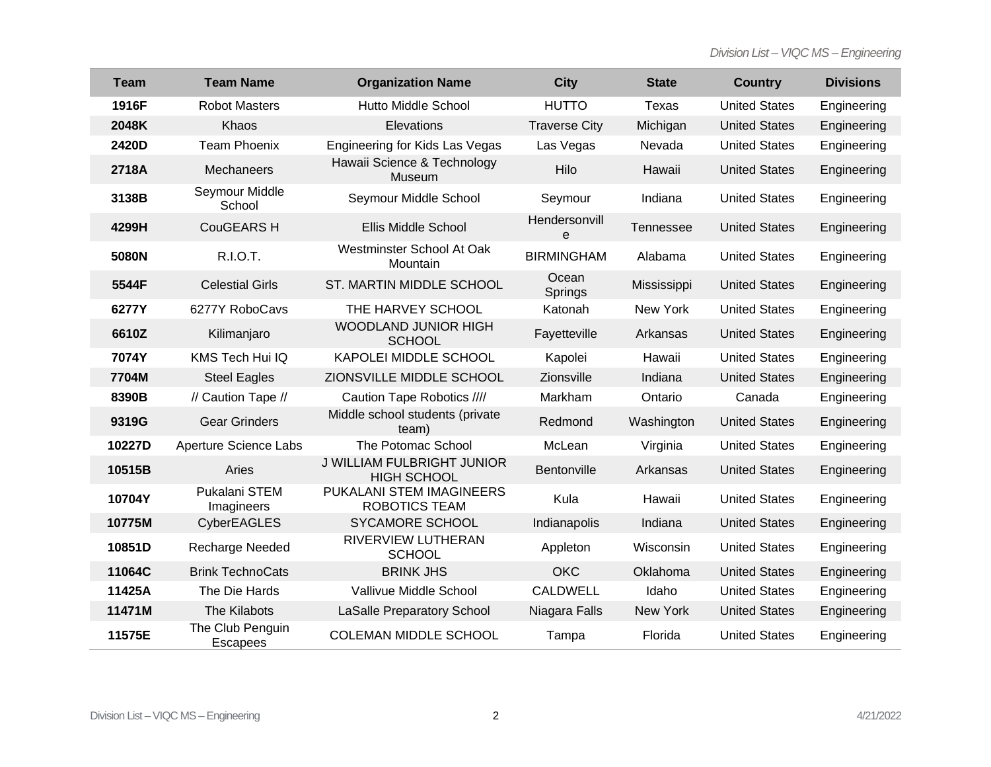| Team   | <b>Team Name</b>             | <b>Organization Name</b>                                | <b>City</b>               | <b>State</b>     | <b>Country</b>       | <b>Divisions</b> |
|--------|------------------------------|---------------------------------------------------------|---------------------------|------------------|----------------------|------------------|
| 1916F  | <b>Robot Masters</b>         | <b>Hutto Middle School</b>                              | <b>HUTTO</b>              | Texas            | <b>United States</b> | Engineering      |
| 2048K  | Khaos                        | Elevations                                              | <b>Traverse City</b>      | Michigan         | <b>United States</b> | Engineering      |
| 2420D  | <b>Team Phoenix</b>          | Engineering for Kids Las Vegas                          | Las Vegas                 | Nevada           | <b>United States</b> | Engineering      |
| 2718A  | Mechaneers                   | Hawaii Science & Technology<br>Museum                   | Hilo                      | Hawaii           | <b>United States</b> | Engineering      |
| 3138B  | Seymour Middle<br>School     | Seymour Middle School                                   | Seymour                   | Indiana          | <b>United States</b> | Engineering      |
| 4299H  | CouGEARS H                   | Ellis Middle School                                     | Hendersonvill<br>$\theta$ | <b>Tennessee</b> | <b>United States</b> | Engineering      |
| 5080N  | R.I.O.T.                     | Westminster School At Oak<br>Mountain                   | <b>BIRMINGHAM</b>         | Alabama          | <b>United States</b> | Engineering      |
| 5544F  | <b>Celestial Girls</b>       | ST. MARTIN MIDDLE SCHOOL                                | Ocean<br>Springs          | Mississippi      | <b>United States</b> | Engineering      |
| 6277Y  | 6277Y RoboCavs               | THE HARVEY SCHOOL                                       | Katonah                   | New York         | <b>United States</b> | Engineering      |
| 6610Z  | Kilimanjaro                  | WOODLAND JUNIOR HIGH<br><b>SCHOOL</b>                   | Fayetteville              | Arkansas         | <b>United States</b> | Engineering      |
| 7074Y  | KMS Tech Hui IQ              | KAPOLEI MIDDLE SCHOOL                                   | Kapolei                   | Hawaii           | <b>United States</b> | Engineering      |
| 7704M  | <b>Steel Eagles</b>          | ZIONSVILLE MIDDLE SCHOOL                                | Zionsville                | Indiana          | <b>United States</b> | Engineering      |
| 8390B  | // Caution Tape //           | Caution Tape Robotics ////                              | Markham                   | Ontario          | Canada               | Engineering      |
| 9319G  | <b>Gear Grinders</b>         | Middle school students (private<br>team)                | Redmond                   | Washington       | <b>United States</b> | Engineering      |
| 10227D | Aperture Science Labs        | The Potomac School                                      | McLean                    | Virginia         | <b>United States</b> | Engineering      |
| 10515B | Aries                        | <b>J WILLIAM FULBRIGHT JUNIOR</b><br><b>HIGH SCHOOL</b> | Bentonville               | Arkansas         | <b>United States</b> | Engineering      |
| 10704Y | Pukalani STEM<br>Imagineers  | PUKALANI STEM IMAGINEERS<br>ROBOTICS TEAM               | Kula                      | Hawaii           | <b>United States</b> | Engineering      |
| 10775M | <b>CyberEAGLES</b>           | SYCAMORE SCHOOL                                         | Indianapolis              | Indiana          | <b>United States</b> | Engineering      |
| 10851D | Recharge Needed              | RIVERVIEW LUTHERAN<br><b>SCHOOL</b>                     | Appleton                  | Wisconsin        | <b>United States</b> | Engineering      |
| 11064C | <b>Brink TechnoCats</b>      | <b>BRINK JHS</b>                                        | <b>OKC</b>                | Oklahoma         | <b>United States</b> | Engineering      |
| 11425A | The Die Hards                | Vallivue Middle School                                  | <b>CALDWELL</b>           | Idaho            | <b>United States</b> | Engineering      |
| 11471M | The Kilabots                 | <b>LaSalle Preparatory School</b>                       | Niagara Falls             | New York         | <b>United States</b> | Engineering      |
| 11575E | The Club Penguin<br>Escapees | <b>COLEMAN MIDDLE SCHOOL</b>                            | Tampa                     | Florida          | <b>United States</b> | Engineering      |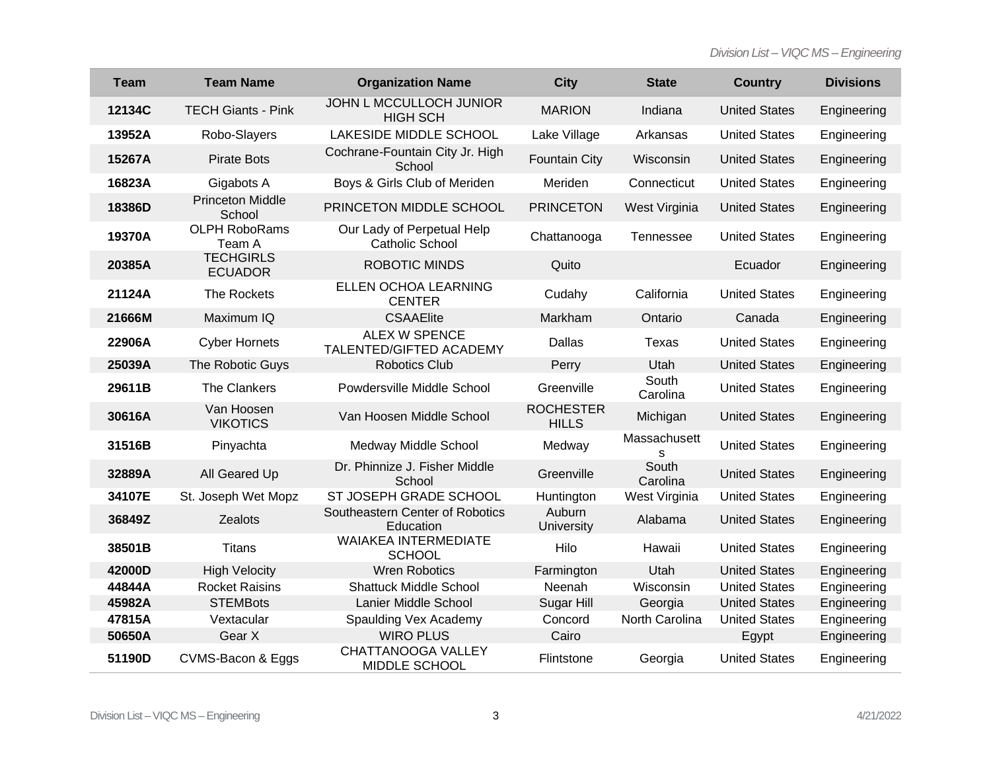| <b>Team</b> | <b>Team Name</b>                   | <b>Organization Name</b>                             | <b>City</b>                      | <b>State</b>      | <b>Country</b>       | <b>Divisions</b> |
|-------------|------------------------------------|------------------------------------------------------|----------------------------------|-------------------|----------------------|------------------|
| 12134C      | <b>TECH Giants - Pink</b>          | JOHN L MCCULLOCH JUNIOR<br><b>HIGH SCH</b>           | <b>MARION</b>                    | Indiana           | <b>United States</b> | Engineering      |
| 13952A      | Robo-Slayers                       | LAKESIDE MIDDLE SCHOOL                               | Lake Village                     | Arkansas          | <b>United States</b> | Engineering      |
| 15267A      | <b>Pirate Bots</b>                 | Cochrane-Fountain City Jr. High<br>School            | <b>Fountain City</b>             | Wisconsin         | <b>United States</b> | Engineering      |
| 16823A      | Gigabots A                         | Boys & Girls Club of Meriden                         | Meriden                          | Connecticut       | <b>United States</b> | Engineering      |
| 18386D      | <b>Princeton Middle</b><br>School  | PRINCETON MIDDLE SCHOOL                              | <b>PRINCETON</b>                 | West Virginia     | <b>United States</b> | Engineering      |
| 19370A      | <b>OLPH RoboRams</b><br>Team A     | Our Lady of Perpetual Help<br><b>Catholic School</b> | Chattanooga                      | Tennessee         | <b>United States</b> | Engineering      |
| 20385A      | <b>TECHGIRLS</b><br><b>ECUADOR</b> | ROBOTIC MINDS                                        | Quito                            |                   | Ecuador              | Engineering      |
| 21124A      | The Rockets                        | ELLEN OCHOA LEARNING<br><b>CENTER</b>                | Cudahy                           | California        | <b>United States</b> | Engineering      |
| 21666M      | Maximum IQ                         | <b>CSAAElite</b>                                     | Markham                          | Ontario           | Canada               | Engineering      |
| 22906A      | <b>Cyber Hornets</b>               | <b>ALEX W SPENCE</b><br>TALENTED/GIFTED ACADEMY      | <b>Dallas</b>                    | Texas             | <b>United States</b> | Engineering      |
| 25039A      | The Robotic Guys                   | <b>Robotics Club</b>                                 | Perry                            | Utah              | <b>United States</b> | Engineering      |
| 29611B      | The Clankers                       | Powdersville Middle School                           | Greenville                       | South<br>Carolina | <b>United States</b> | Engineering      |
| 30616A      | Van Hoosen<br><b>VIKOTICS</b>      | Van Hoosen Middle School                             | <b>ROCHESTER</b><br><b>HILLS</b> | Michigan          | <b>United States</b> | Engineering      |
| 31516B      | Pinyachta                          | Medway Middle School                                 | Medway                           | Massachusett<br>S | <b>United States</b> | Engineering      |
| 32889A      | All Geared Up                      | Dr. Phinnize J. Fisher Middle<br>School              | Greenville                       | South<br>Carolina | <b>United States</b> | Engineering      |
| 34107E      | St. Joseph Wet Mopz                | ST JOSEPH GRADE SCHOOL                               | Huntington                       | West Virginia     | <b>United States</b> | Engineering      |
| 36849Z      | <b>Zealots</b>                     | Southeastern Center of Robotics<br>Education         | Auburn<br><b>University</b>      | Alabama           | <b>United States</b> | Engineering      |
| 38501B      | <b>Titans</b>                      | <b>WAIAKEA INTERMEDIATE</b><br><b>SCHOOL</b>         | Hilo                             | Hawaii            | <b>United States</b> | Engineering      |
| 42000D      | <b>High Velocity</b>               | <b>Wren Robotics</b>                                 | Farmington                       | Utah              | <b>United States</b> | Engineering      |
| 44844A      | <b>Rocket Raisins</b>              | <b>Shattuck Middle School</b>                        | Neenah                           | Wisconsin         | <b>United States</b> | Engineering      |
| 45982A      | <b>STEMBots</b>                    | Lanier Middle School                                 | Sugar Hill                       | Georgia           | <b>United States</b> | Engineering      |
| 47815A      | Vextacular                         | Spaulding Vex Academy                                | Concord                          | North Carolina    | <b>United States</b> | Engineering      |
| 50650A      | Gear X                             | <b>WIRO PLUS</b>                                     | Cairo                            |                   | Egypt                | Engineering      |
| 51190D      | CVMS-Bacon & Eggs                  | CHATTANOOGA VALLEY<br>MIDDLE SCHOOL                  | Flintstone                       | Georgia           | <b>United States</b> | Engineering      |